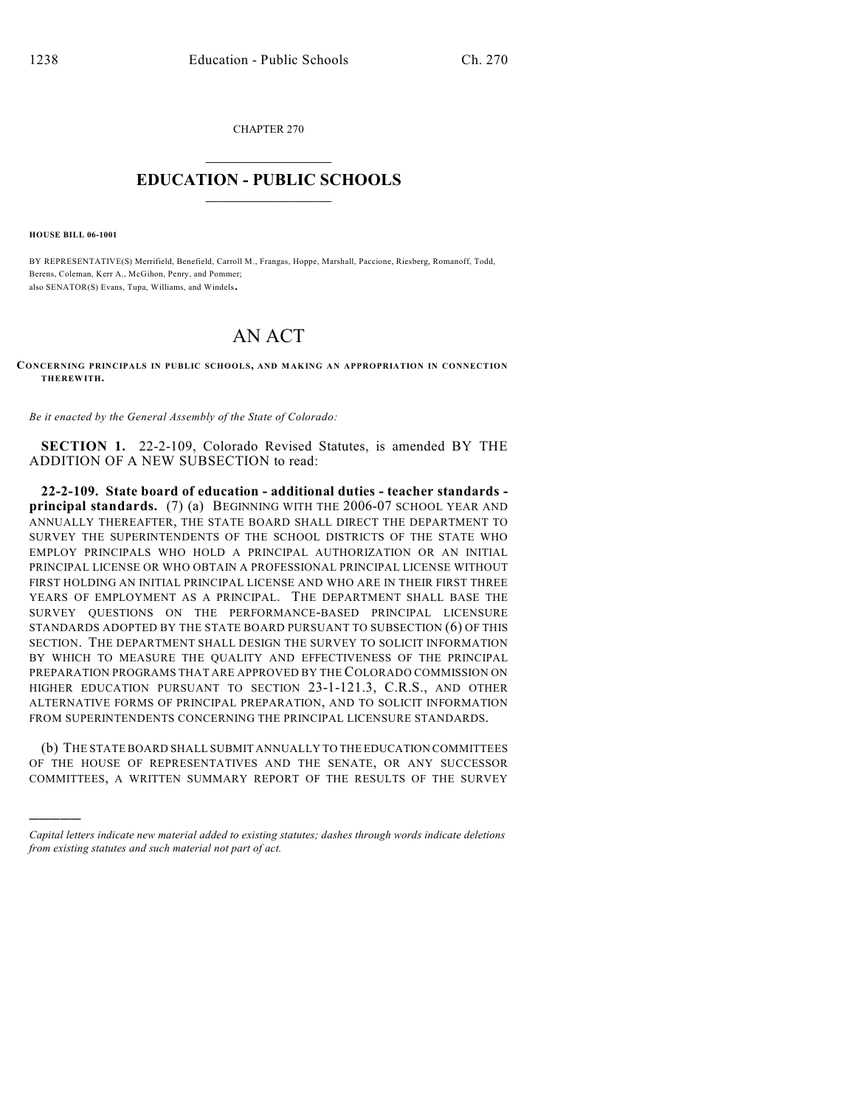CHAPTER 270  $\mathcal{L}_\text{max}$  . The set of the set of the set of the set of the set of the set of the set of the set of the set of the set of the set of the set of the set of the set of the set of the set of the set of the set of the set

## **EDUCATION - PUBLIC SCHOOLS**  $\_$   $\_$   $\_$   $\_$   $\_$   $\_$   $\_$   $\_$   $\_$

**HOUSE BILL 06-1001**

)))))

BY REPRESENTATIVE(S) Merrifield, Benefield, Carroll M., Frangas, Hoppe, Marshall, Paccione, Riesberg, Romanoff, Todd, Berens, Coleman, Kerr A., McGihon, Penry, and Pommer; also SENATOR(S) Evans, Tupa, Williams, and Windels.

## AN ACT

**CONCERNING PRINCIPALS IN PUBLIC SCHOOLS, AND MAK ING AN APPROPRIATION IN CONNECTIO N THEREWITH.**

*Be it enacted by the General Assembly of the State of Colorado:*

**SECTION 1.** 22-2-109, Colorado Revised Statutes, is amended BY THE ADDITION OF A NEW SUBSECTION to read:

**22-2-109. State board of education - additional duties - teacher standards principal standards.** (7) (a) BEGINNING WITH THE 2006-07 SCHOOL YEAR AND ANNUALLY THEREAFTER, THE STATE BOARD SHALL DIRECT THE DEPARTMENT TO SURVEY THE SUPERINTENDENTS OF THE SCHOOL DISTRICTS OF THE STATE WHO EMPLOY PRINCIPALS WHO HOLD A PRINCIPAL AUTHORIZATION OR AN INITIAL PRINCIPAL LICENSE OR WHO OBTAIN A PROFESSIONAL PRINCIPAL LICENSE WITHOUT FIRST HOLDING AN INITIAL PRINCIPAL LICENSE AND WHO ARE IN THEIR FIRST THREE YEARS OF EMPLOYMENT AS A PRINCIPAL. THE DEPARTMENT SHALL BASE THE SURVEY QUESTIONS ON THE PERFORMANCE-BASED PRINCIPAL LICENSURE STANDARDS ADOPTED BY THE STATE BOARD PURSUANT TO SUBSECTION (6) OF THIS SECTION. THE DEPARTMENT SHALL DESIGN THE SURVEY TO SOLICIT INFORMATION BY WHICH TO MEASURE THE QUALITY AND EFFECTIVENESS OF THE PRINCIPAL PREPARATION PROGRAMS THAT ARE APPROVED BY THE COLORADO COMMISSION ON HIGHER EDUCATION PURSUANT TO SECTION 23-1-121.3, C.R.S., AND OTHER ALTERNATIVE FORMS OF PRINCIPAL PREPARATION, AND TO SOLICIT INFORMATION FROM SUPERINTENDENTS CONCERNING THE PRINCIPAL LICENSURE STANDARDS.

(b) THE STATE BOARD SHALL SUBMIT ANNUALLY TO THE EDUCATION COMMITTEES OF THE HOUSE OF REPRESENTATIVES AND THE SENATE, OR ANY SUCCESSOR COMMITTEES, A WRITTEN SUMMARY REPORT OF THE RESULTS OF THE SURVEY

*Capital letters indicate new material added to existing statutes; dashes through words indicate deletions from existing statutes and such material not part of act.*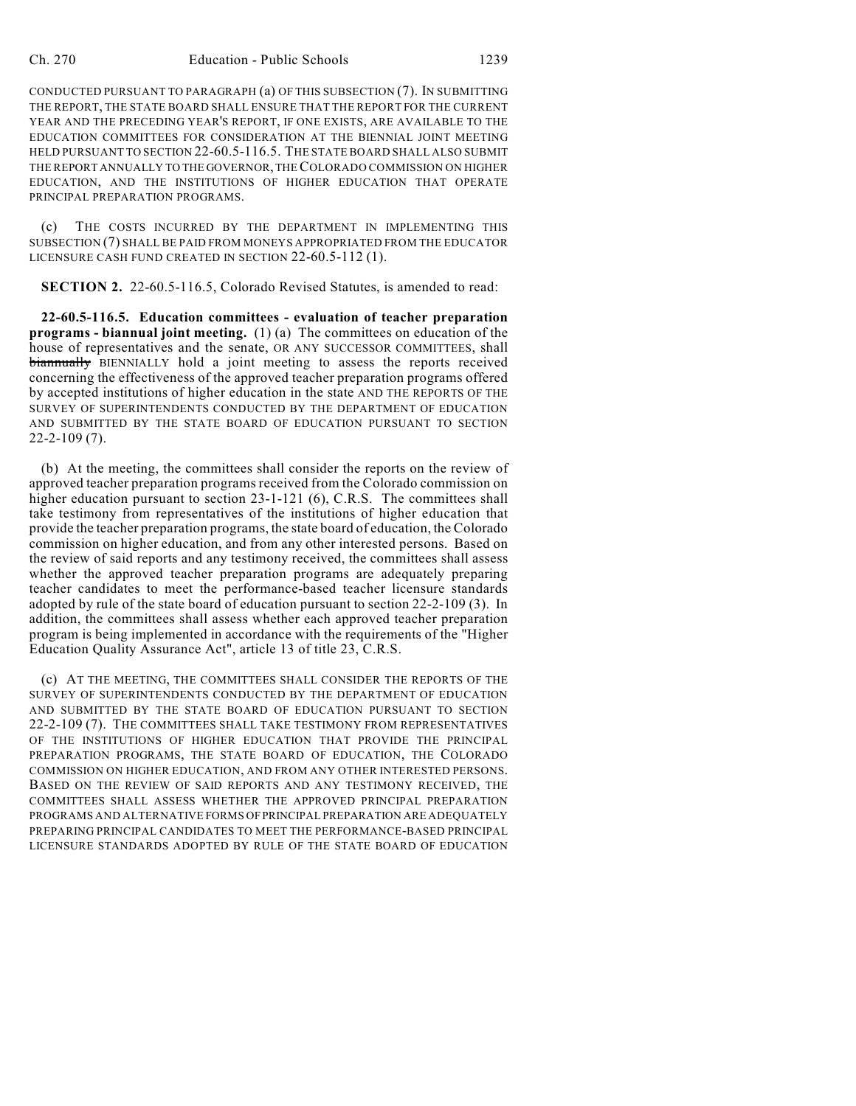CONDUCTED PURSUANT TO PARAGRAPH (a) OF THIS SUBSECTION (7). IN SUBMITTING THE REPORT, THE STATE BOARD SHALL ENSURE THAT THE REPORT FOR THE CURRENT YEAR AND THE PRECEDING YEAR'S REPORT, IF ONE EXISTS, ARE AVAILABLE TO THE EDUCATION COMMITTEES FOR CONSIDERATION AT THE BIENNIAL JOINT MEETING HELD PURSUANT TO SECTION 22-60.5-116.5. THE STATE BOARD SHALL ALSO SUBMIT THE REPORT ANNUALLY TO THE GOVERNOR, THE COLORADO COMMISSION ON HIGHER EDUCATION, AND THE INSTITUTIONS OF HIGHER EDUCATION THAT OPERATE PRINCIPAL PREPARATION PROGRAMS.

(c) THE COSTS INCURRED BY THE DEPARTMENT IN IMPLEMENTING THIS SUBSECTION (7) SHALL BE PAID FROM MONEYS APPROPRIATED FROM THE EDUCATOR LICENSURE CASH FUND CREATED IN SECTION 22-60.5-112 (1).

**SECTION 2.** 22-60.5-116.5, Colorado Revised Statutes, is amended to read:

**22-60.5-116.5. Education committees - evaluation of teacher preparation programs - biannual joint meeting.** (1) (a) The committees on education of the house of representatives and the senate, OR ANY SUCCESSOR COMMITTEES, shall biannually BIENNIALLY hold a joint meeting to assess the reports received concerning the effectiveness of the approved teacher preparation programs offered by accepted institutions of higher education in the state AND THE REPORTS OF THE SURVEY OF SUPERINTENDENTS CONDUCTED BY THE DEPARTMENT OF EDUCATION AND SUBMITTED BY THE STATE BOARD OF EDUCATION PURSUANT TO SECTION 22-2-109 (7).

(b) At the meeting, the committees shall consider the reports on the review of approved teacher preparation programs received from the Colorado commission on higher education pursuant to section 23-1-121 (6), C.R.S. The committees shall take testimony from representatives of the institutions of higher education that provide the teacher preparation programs, the state board of education, the Colorado commission on higher education, and from any other interested persons. Based on the review of said reports and any testimony received, the committees shall assess whether the approved teacher preparation programs are adequately preparing teacher candidates to meet the performance-based teacher licensure standards adopted by rule of the state board of education pursuant to section 22-2-109 (3). In addition, the committees shall assess whether each approved teacher preparation program is being implemented in accordance with the requirements of the "Higher Education Quality Assurance Act", article 13 of title 23, C.R.S.

(c) AT THE MEETING, THE COMMITTEES SHALL CONSIDER THE REPORTS OF THE SURVEY OF SUPERINTENDENTS CONDUCTED BY THE DEPARTMENT OF EDUCATION AND SUBMITTED BY THE STATE BOARD OF EDUCATION PURSUANT TO SECTION 22-2-109 (7). THE COMMITTEES SHALL TAKE TESTIMONY FROM REPRESENTATIVES OF THE INSTITUTIONS OF HIGHER EDUCATION THAT PROVIDE THE PRINCIPAL PREPARATION PROGRAMS, THE STATE BOARD OF EDUCATION, THE COLORADO COMMISSION ON HIGHER EDUCATION, AND FROM ANY OTHER INTERESTED PERSONS. BASED ON THE REVIEW OF SAID REPORTS AND ANY TESTIMONY RECEIVED, THE COMMITTEES SHALL ASSESS WHETHER THE APPROVED PRINCIPAL PREPARATION PROGRAMS AND ALTERNATIVE FORMS OF PRINCIPAL PREPARATION ARE ADEQUATELY PREPARING PRINCIPAL CANDIDATES TO MEET THE PERFORMANCE-BASED PRINCIPAL LICENSURE STANDARDS ADOPTED BY RULE OF THE STATE BOARD OF EDUCATION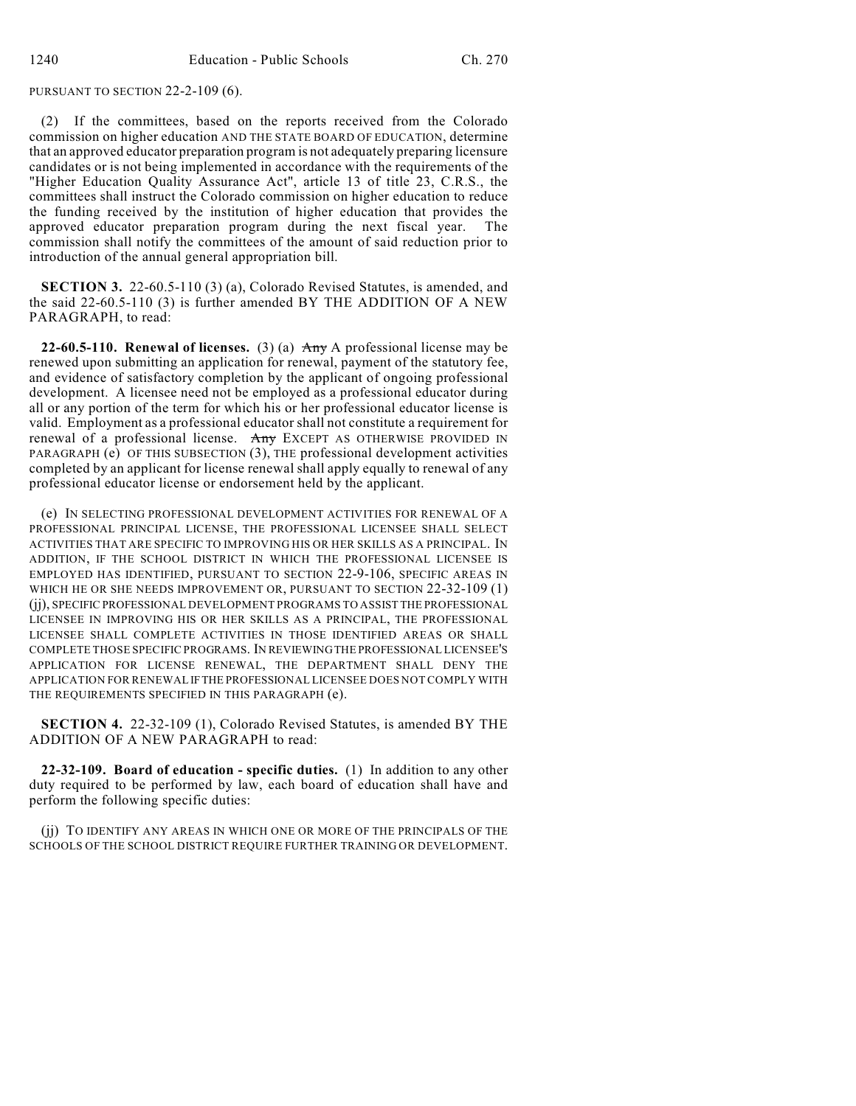PURSUANT TO SECTION 22-2-109 (6).

(2) If the committees, based on the reports received from the Colorado commission on higher education AND THE STATE BOARD OF EDUCATION, determine that an approved educator preparation program is not adequately preparing licensure candidates or is not being implemented in accordance with the requirements of the "Higher Education Quality Assurance Act", article 13 of title 23, C.R.S., the committees shall instruct the Colorado commission on higher education to reduce the funding received by the institution of higher education that provides the approved educator preparation program during the next fiscal year. The commission shall notify the committees of the amount of said reduction prior to introduction of the annual general appropriation bill.

**SECTION 3.** 22-60.5-110 (3) (a), Colorado Revised Statutes, is amended, and the said 22-60.5-110 (3) is further amended BY THE ADDITION OF A NEW PARAGRAPH, to read:

**22-60.5-110. Renewal of licenses.** (3) (a)  $\overrightarrow{Any}$  A professional license may be renewed upon submitting an application for renewal, payment of the statutory fee, and evidence of satisfactory completion by the applicant of ongoing professional development. A licensee need not be employed as a professional educator during all or any portion of the term for which his or her professional educator license is valid. Employment as a professional educator shall not constitute a requirement for renewal of a professional license. Any EXCEPT AS OTHERWISE PROVIDED IN PARAGRAPH (e) OF THIS SUBSECTION (3), THE professional development activities completed by an applicant for license renewal shall apply equally to renewal of any professional educator license or endorsement held by the applicant.

(e) IN SELECTING PROFESSIONAL DEVELOPMENT ACTIVITIES FOR RENEWAL OF A PROFESSIONAL PRINCIPAL LICENSE, THE PROFESSIONAL LICENSEE SHALL SELECT ACTIVITIES THAT ARE SPECIFIC TO IMPROVING HIS OR HER SKILLS AS A PRINCIPAL. IN ADDITION, IF THE SCHOOL DISTRICT IN WHICH THE PROFESSIONAL LICENSEE IS EMPLOYED HAS IDENTIFIED, PURSUANT TO SECTION 22-9-106, SPECIFIC AREAS IN WHICH HE OR SHE NEEDS IMPROVEMENT OR, PURSUANT TO SECTION 22-32-109 (1) (jj), SPECIFIC PROFESSIONAL DEVELOPMENT PROGRAMS TO ASSIST THE PROFESSIONAL LICENSEE IN IMPROVING HIS OR HER SKILLS AS A PRINCIPAL, THE PROFESSIONAL LICENSEE SHALL COMPLETE ACTIVITIES IN THOSE IDENTIFIED AREAS OR SHALL COMPLETE THOSE SPECIFIC PROGRAMS. IN REVIEWING THE PROFESSIONAL LICENSEE'S APPLICATION FOR LICENSE RENEWAL, THE DEPARTMENT SHALL DENY THE APPLICATION FOR RENEWAL IF THE PROFESSIONAL LICENSEE DOES NOT COMPLY WITH THE REQUIREMENTS SPECIFIED IN THIS PARAGRAPH (e).

**SECTION 4.** 22-32-109 (1), Colorado Revised Statutes, is amended BY THE ADDITION OF A NEW PARAGRAPH to read:

**22-32-109. Board of education - specific duties.** (1) In addition to any other duty required to be performed by law, each board of education shall have and perform the following specific duties:

(jj) TO IDENTIFY ANY AREAS IN WHICH ONE OR MORE OF THE PRINCIPALS OF THE SCHOOLS OF THE SCHOOL DISTRICT REQUIRE FURTHER TRAINING OR DEVELOPMENT.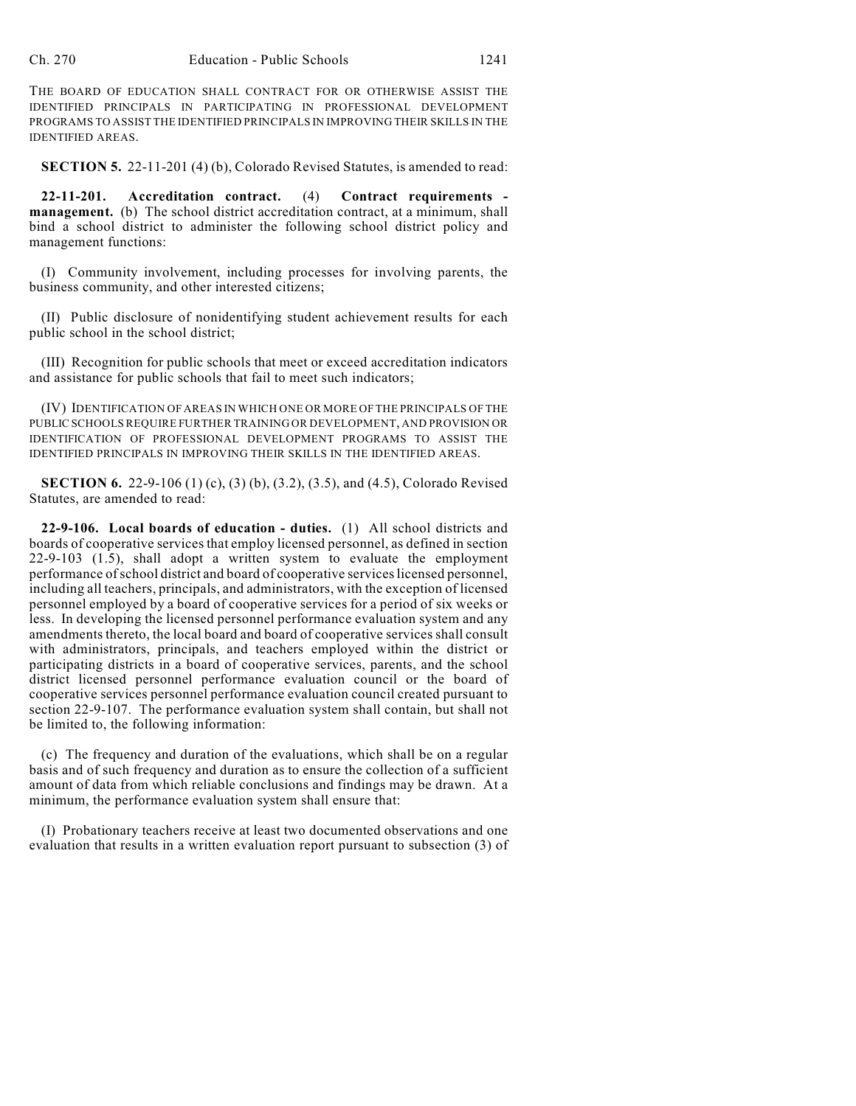THE BOARD OF EDUCATION SHALL CONTRACT FOR OR OTHERWISE ASSIST THE IDENTIFIED PRINCIPALS IN PARTICIPATING IN PROFESSIONAL DEVELOPMENT PROGRAMS TO ASSIST THE IDENTIFIED PRINCIPALS IN IMPROVING THEIR SKILLS IN THE IDENTIFIED AREAS.

**SECTION 5.** 22-11-201 (4) (b), Colorado Revised Statutes, is amended to read:

**22-11-201. Accreditation contract.** (4) **Contract requirements management.** (b) The school district accreditation contract, at a minimum, shall bind a school district to administer the following school district policy and management functions:

(I) Community involvement, including processes for involving parents, the business community, and other interested citizens;

(II) Public disclosure of nonidentifying student achievement results for each public school in the school district;

(III) Recognition for public schools that meet or exceed accreditation indicators and assistance for public schools that fail to meet such indicators;

(IV) IDENTIFICATION OF AREAS IN WHICH ONE OR MORE OFTHE PRINCIPALS OF THE PUBLIC SCHOOLS REQUIRE FURTHER TRAINING OR DEVELOPMENT, AND PROVISION OR IDENTIFICATION OF PROFESSIONAL DEVELOPMENT PROGRAMS TO ASSIST THE IDENTIFIED PRINCIPALS IN IMPROVING THEIR SKILLS IN THE IDENTIFIED AREAS.

**SECTION 6.** 22-9-106 (1) (c), (3) (b), (3.2), (3.5), and (4.5), Colorado Revised Statutes, are amended to read:

**22-9-106. Local boards of education - duties.** (1) All school districts and boards of cooperative services that employ licensed personnel, as defined in section 22-9-103 (1.5), shall adopt a written system to evaluate the employment performance of school district and board of cooperative services licensed personnel, including all teachers, principals, and administrators, with the exception of licensed personnel employed by a board of cooperative services for a period of six weeks or less. In developing the licensed personnel performance evaluation system and any amendments thereto, the local board and board of cooperative services shall consult with administrators, principals, and teachers employed within the district or participating districts in a board of cooperative services, parents, and the school district licensed personnel performance evaluation council or the board of cooperative services personnel performance evaluation council created pursuant to section 22-9-107. The performance evaluation system shall contain, but shall not be limited to, the following information:

(c) The frequency and duration of the evaluations, which shall be on a regular basis and of such frequency and duration as to ensure the collection of a sufficient amount of data from which reliable conclusions and findings may be drawn. At a minimum, the performance evaluation system shall ensure that:

(I) Probationary teachers receive at least two documented observations and one evaluation that results in a written evaluation report pursuant to subsection (3) of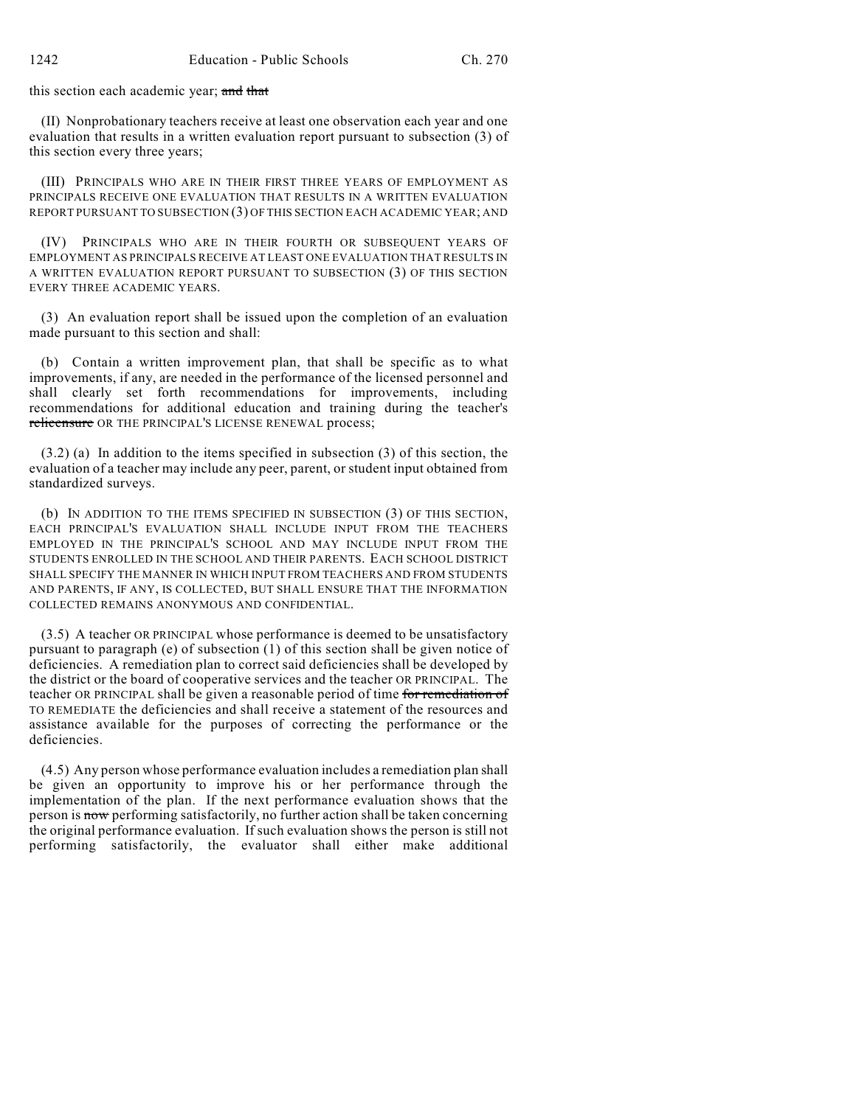this section each academic year; and that

(II) Nonprobationary teachers receive at least one observation each year and one evaluation that results in a written evaluation report pursuant to subsection (3) of this section every three years;

(III) PRINCIPALS WHO ARE IN THEIR FIRST THREE YEARS OF EMPLOYMENT AS PRINCIPALS RECEIVE ONE EVALUATION THAT RESULTS IN A WRITTEN EVALUATION REPORT PURSUANT TO SUBSECTION (3) OF THIS SECTION EACH ACADEMIC YEAR; AND

(IV) PRINCIPALS WHO ARE IN THEIR FOURTH OR SUBSEQUENT YEARS OF EMPLOYMENT AS PRINCIPALS RECEIVE AT LEAST ONE EVALUATION THAT RESULTS IN A WRITTEN EVALUATION REPORT PURSUANT TO SUBSECTION (3) OF THIS SECTION EVERY THREE ACADEMIC YEARS.

(3) An evaluation report shall be issued upon the completion of an evaluation made pursuant to this section and shall:

(b) Contain a written improvement plan, that shall be specific as to what improvements, if any, are needed in the performance of the licensed personnel and shall clearly set forth recommendations for improvements, including recommendations for additional education and training during the teacher's relicensure OR THE PRINCIPAL'S LICENSE RENEWAL process;

(3.2) (a) In addition to the items specified in subsection (3) of this section, the evaluation of a teacher may include any peer, parent, or student input obtained from standardized surveys.

(b) IN ADDITION TO THE ITEMS SPECIFIED IN SUBSECTION (3) OF THIS SECTION, EACH PRINCIPAL'S EVALUATION SHALL INCLUDE INPUT FROM THE TEACHERS EMPLOYED IN THE PRINCIPAL'S SCHOOL AND MAY INCLUDE INPUT FROM THE STUDENTS ENROLLED IN THE SCHOOL AND THEIR PARENTS. EACH SCHOOL DISTRICT SHALL SPECIFY THE MANNER IN WHICH INPUT FROM TEACHERS AND FROM STUDENTS AND PARENTS, IF ANY, IS COLLECTED, BUT SHALL ENSURE THAT THE INFORMATION COLLECTED REMAINS ANONYMOUS AND CONFIDENTIAL.

(3.5) A teacher OR PRINCIPAL whose performance is deemed to be unsatisfactory pursuant to paragraph (e) of subsection (1) of this section shall be given notice of deficiencies. A remediation plan to correct said deficiencies shall be developed by the district or the board of cooperative services and the teacher OR PRINCIPAL. The teacher OR PRINCIPAL shall be given a reasonable period of time for remediation of TO REMEDIATE the deficiencies and shall receive a statement of the resources and assistance available for the purposes of correcting the performance or the deficiencies.

(4.5) Any person whose performance evaluation includes a remediation plan shall be given an opportunity to improve his or her performance through the implementation of the plan. If the next performance evaluation shows that the person is now performing satisfactorily, no further action shall be taken concerning the original performance evaluation. If such evaluation shows the person is still not performing satisfactorily, the evaluator shall either make additional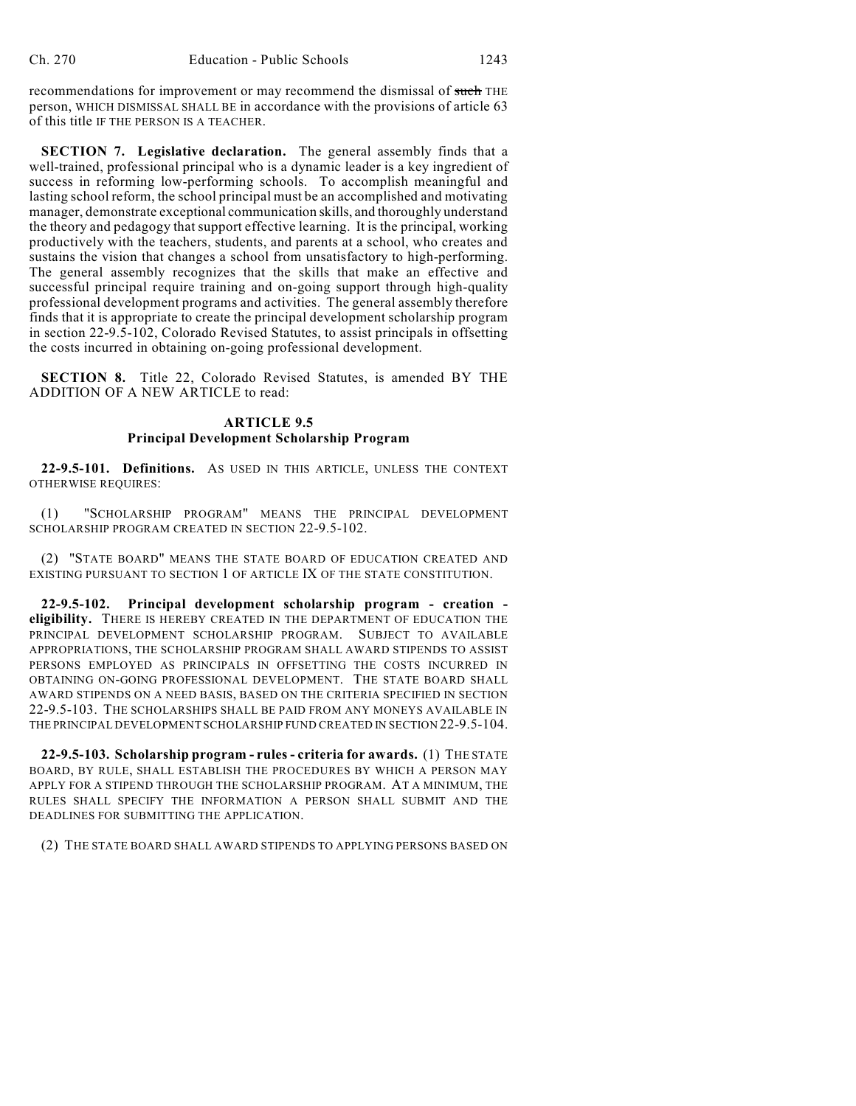recommendations for improvement or may recommend the dismissal of such THE person, WHICH DISMISSAL SHALL BE in accordance with the provisions of article 63 of this title IF THE PERSON IS A TEACHER.

**SECTION 7. Legislative declaration.** The general assembly finds that a well-trained, professional principal who is a dynamic leader is a key ingredient of success in reforming low-performing schools. To accomplish meaningful and lasting school reform, the school principal must be an accomplished and motivating manager, demonstrate exceptional communication skills, and thoroughly understand the theory and pedagogy that support effective learning. It is the principal, working productively with the teachers, students, and parents at a school, who creates and sustains the vision that changes a school from unsatisfactory to high-performing. The general assembly recognizes that the skills that make an effective and successful principal require training and on-going support through high-quality professional development programs and activities. The general assembly therefore finds that it is appropriate to create the principal development scholarship program in section 22-9.5-102, Colorado Revised Statutes, to assist principals in offsetting the costs incurred in obtaining on-going professional development.

**SECTION 8.** Title 22, Colorado Revised Statutes, is amended BY THE ADDITION OF A NEW ARTICLE to read:

## **ARTICLE 9.5 Principal Development Scholarship Program**

**22-9.5-101. Definitions.** AS USED IN THIS ARTICLE, UNLESS THE CONTEXT OTHERWISE REQUIRES:

(1) "SCHOLARSHIP PROGRAM" MEANS THE PRINCIPAL DEVELOPMENT SCHOLARSHIP PROGRAM CREATED IN SECTION 22-9.5-102.

(2) "STATE BOARD" MEANS THE STATE BOARD OF EDUCATION CREATED AND EXISTING PURSUANT TO SECTION 1 OF ARTICLE IX OF THE STATE CONSTITUTION.

**22-9.5-102. Principal development scholarship program - creation eligibility.** THERE IS HEREBY CREATED IN THE DEPARTMENT OF EDUCATION THE PRINCIPAL DEVELOPMENT SCHOLARSHIP PROGRAM. SUBJECT TO AVAILABLE APPROPRIATIONS, THE SCHOLARSHIP PROGRAM SHALL AWARD STIPENDS TO ASSIST PERSONS EMPLOYED AS PRINCIPALS IN OFFSETTING THE COSTS INCURRED IN OBTAINING ON-GOING PROFESSIONAL DEVELOPMENT. THE STATE BOARD SHALL AWARD STIPENDS ON A NEED BASIS, BASED ON THE CRITERIA SPECIFIED IN SECTION 22-9.5-103. THE SCHOLARSHIPS SHALL BE PAID FROM ANY MONEYS AVAILABLE IN THE PRINCIPAL DEVELOPMENT SCHOLARSHIP FUND CREATED IN SECTION 22-9.5-104.

**22-9.5-103. Scholarship program - rules - criteria for awards.** (1) THE STATE BOARD, BY RULE, SHALL ESTABLISH THE PROCEDURES BY WHICH A PERSON MAY APPLY FOR A STIPEND THROUGH THE SCHOLARSHIP PROGRAM. AT A MINIMUM, THE RULES SHALL SPECIFY THE INFORMATION A PERSON SHALL SUBMIT AND THE DEADLINES FOR SUBMITTING THE APPLICATION.

(2) THE STATE BOARD SHALL AWARD STIPENDS TO APPLYING PERSONS BASED ON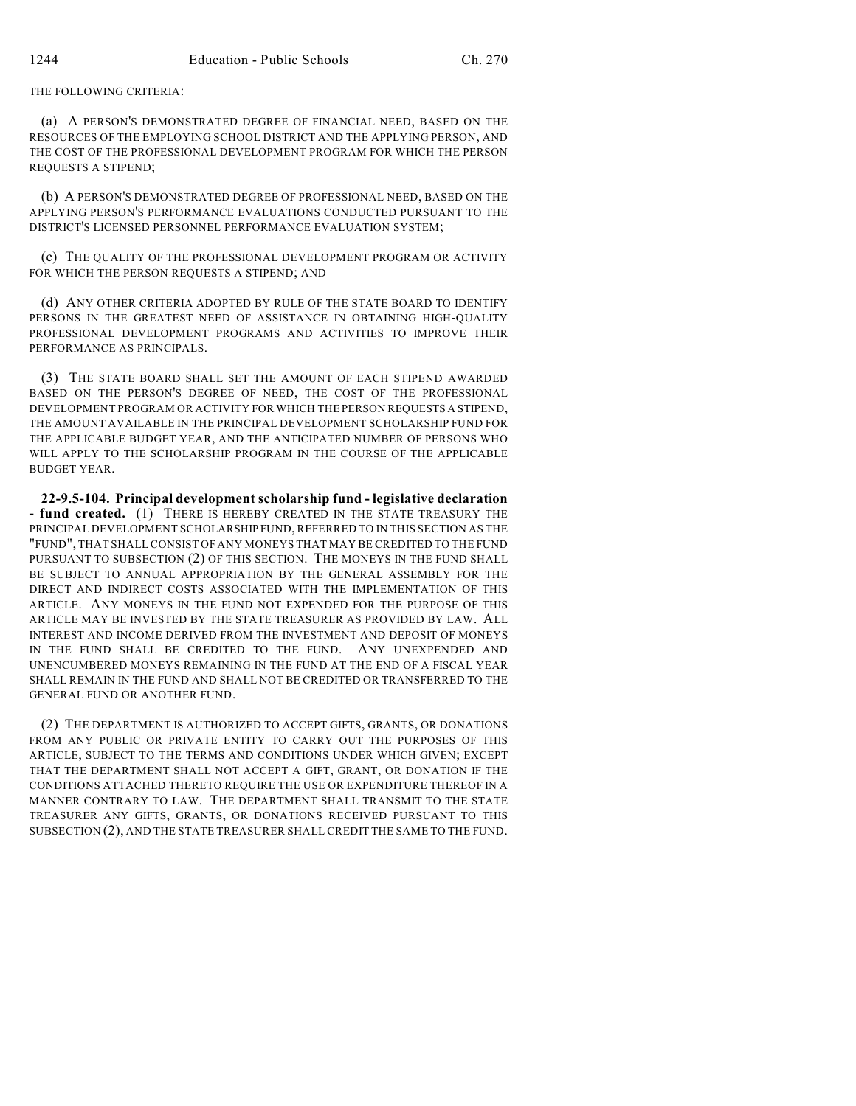THE FOLLOWING CRITERIA:

(a) A PERSON'S DEMONSTRATED DEGREE OF FINANCIAL NEED, BASED ON THE RESOURCES OF THE EMPLOYING SCHOOL DISTRICT AND THE APPLYING PERSON, AND THE COST OF THE PROFESSIONAL DEVELOPMENT PROGRAM FOR WHICH THE PERSON REQUESTS A STIPEND;

(b) A PERSON'S DEMONSTRATED DEGREE OF PROFESSIONAL NEED, BASED ON THE APPLYING PERSON'S PERFORMANCE EVALUATIONS CONDUCTED PURSUANT TO THE DISTRICT'S LICENSED PERSONNEL PERFORMANCE EVALUATION SYSTEM;

(c) THE QUALITY OF THE PROFESSIONAL DEVELOPMENT PROGRAM OR ACTIVITY FOR WHICH THE PERSON REQUESTS A STIPEND; AND

(d) ANY OTHER CRITERIA ADOPTED BY RULE OF THE STATE BOARD TO IDENTIFY PERSONS IN THE GREATEST NEED OF ASSISTANCE IN OBTAINING HIGH-QUALITY PROFESSIONAL DEVELOPMENT PROGRAMS AND ACTIVITIES TO IMPROVE THEIR PERFORMANCE AS PRINCIPALS.

(3) THE STATE BOARD SHALL SET THE AMOUNT OF EACH STIPEND AWARDED BASED ON THE PERSON'S DEGREE OF NEED, THE COST OF THE PROFESSIONAL DEVELOPMENT PROGRAM OR ACTIVITY FOR WHICH THE PERSON REQUESTS A STIPEND, THE AMOUNT AVAILABLE IN THE PRINCIPAL DEVELOPMENT SCHOLARSHIP FUND FOR THE APPLICABLE BUDGET YEAR, AND THE ANTICIPATED NUMBER OF PERSONS WHO WILL APPLY TO THE SCHOLARSHIP PROGRAM IN THE COURSE OF THE APPLICABLE BUDGET YEAR.

**22-9.5-104. Principal development scholarship fund - legislative declaration - fund created.** (1) THERE IS HEREBY CREATED IN THE STATE TREASURY THE PRINCIPAL DEVELOPMENT SCHOLARSHIP FUND, REFERRED TO IN THIS SECTION AS THE "FUND", THAT SHALL CONSIST OF ANY MONEYS THAT MAY BE CREDITED TO THE FUND PURSUANT TO SUBSECTION (2) OF THIS SECTION. THE MONEYS IN THE FUND SHALL BE SUBJECT TO ANNUAL APPROPRIATION BY THE GENERAL ASSEMBLY FOR THE DIRECT AND INDIRECT COSTS ASSOCIATED WITH THE IMPLEMENTATION OF THIS ARTICLE. ANY MONEYS IN THE FUND NOT EXPENDED FOR THE PURPOSE OF THIS ARTICLE MAY BE INVESTED BY THE STATE TREASURER AS PROVIDED BY LAW. ALL INTEREST AND INCOME DERIVED FROM THE INVESTMENT AND DEPOSIT OF MONEYS IN THE FUND SHALL BE CREDITED TO THE FUND. ANY UNEXPENDED AND UNENCUMBERED MONEYS REMAINING IN THE FUND AT THE END OF A FISCAL YEAR SHALL REMAIN IN THE FUND AND SHALL NOT BE CREDITED OR TRANSFERRED TO THE GENERAL FUND OR ANOTHER FUND.

(2) THE DEPARTMENT IS AUTHORIZED TO ACCEPT GIFTS, GRANTS, OR DONATIONS FROM ANY PUBLIC OR PRIVATE ENTITY TO CARRY OUT THE PURPOSES OF THIS ARTICLE, SUBJECT TO THE TERMS AND CONDITIONS UNDER WHICH GIVEN; EXCEPT THAT THE DEPARTMENT SHALL NOT ACCEPT A GIFT, GRANT, OR DONATION IF THE CONDITIONS ATTACHED THERETO REQUIRE THE USE OR EXPENDITURE THEREOF IN A MANNER CONTRARY TO LAW. THE DEPARTMENT SHALL TRANSMIT TO THE STATE TREASURER ANY GIFTS, GRANTS, OR DONATIONS RECEIVED PURSUANT TO THIS SUBSECTION (2), AND THE STATE TREASURER SHALL CREDIT THE SAME TO THE FUND.